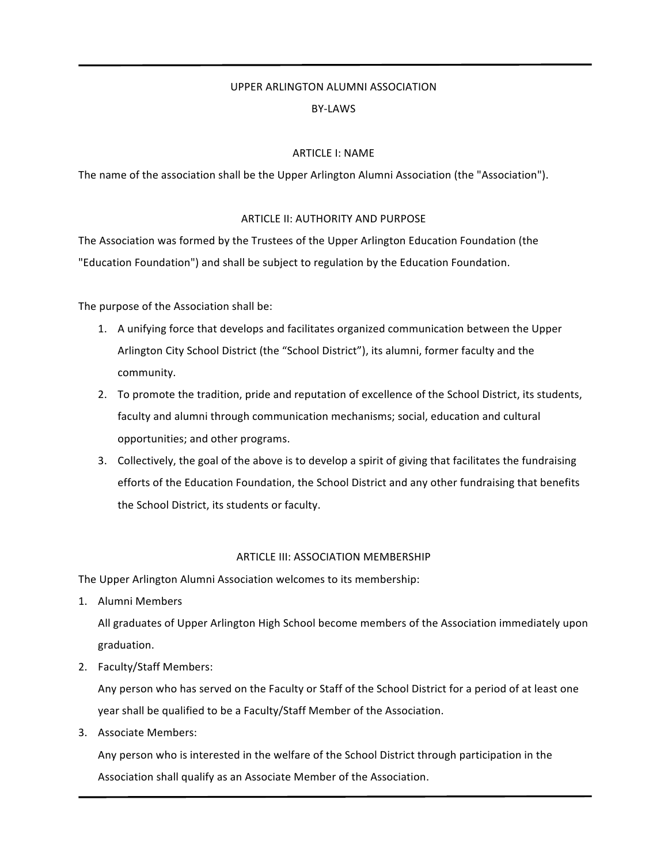# UPPER ARLINGTON ALUMNI ASSOCIATION BY-LAWS

## **ARTICLE I: NAME**

The name of the association shall be the Upper Arlington Alumni Association (the "Association").

## ARTICLE II: AUTHORITY AND PURPOSE

The Association was formed by the Trustees of the Upper Arlington Education Foundation (the "Education Foundation") and shall be subject to regulation by the Education Foundation.

The purpose of the Association shall be:

- 1. A unifying force that develops and facilitates organized communication between the Upper Arlington City School District (the "School District"), its alumni, former faculty and the community.
- 2. To promote the tradition, pride and reputation of excellence of the School District, its students, faculty and alumni through communication mechanisms; social, education and cultural opportunities; and other programs.
- 3. Collectively, the goal of the above is to develop a spirit of giving that facilitates the fundraising efforts of the Education Foundation, the School District and any other fundraising that benefits the School District, its students or faculty.

## ARTICLE III: ASSOCIATION MEMBERSHIP

The Upper Arlington Alumni Association welcomes to its membership:

1. Alumni Members

All graduates of Upper Arlington High School become members of the Association immediately upon graduation.

2. Faculty/Staff Members:

Any person who has served on the Faculty or Staff of the School District for a period of at least one year shall be qualified to be a Faculty/Staff Member of the Association.

3. Associate Members:

Any person who is interested in the welfare of the School District through participation in the Association shall qualify as an Associate Member of the Association.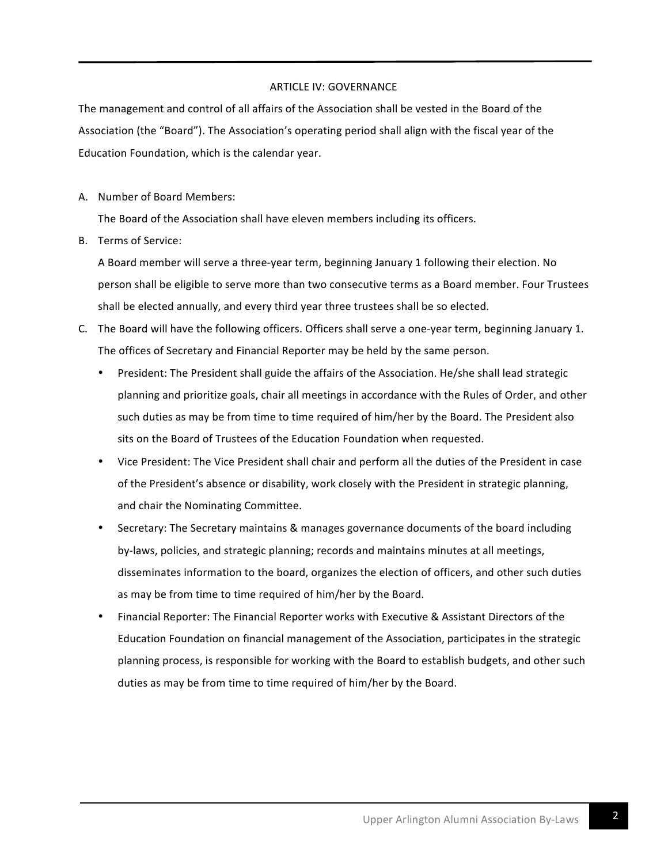## ARTICLE IV: GOVERNANCE

The management and control of all affairs of the Association shall be vested in the Board of the Association (the "Board"). The Association's operating period shall align with the fiscal year of the Education Foundation, which is the calendar year.

A. Number of Board Members:

The Board of the Association shall have eleven members including its officers.

B. Terms of Service:

A Board member will serve a three-year term, beginning January 1 following their election. No person shall be eligible to serve more than two consecutive terms as a Board member. Four Trustees shall be elected annually, and every third year three trustees shall be so elected.

- C. The Board will have the following officers. Officers shall serve a one-year term, beginning January 1. The offices of Secretary and Financial Reporter may be held by the same person.
	- President: The President shall guide the affairs of the Association. He/she shall lead strategic planning and prioritize goals, chair all meetings in accordance with the Rules of Order, and other such duties as may be from time to time required of him/her by the Board. The President also sits on the Board of Trustees of the Education Foundation when requested.
	- Vice President: The Vice President shall chair and perform all the duties of the President in case of the President's absence or disability, work closely with the President in strategic planning, and chair the Nominating Committee.
	- Secretary: The Secretary maintains & manages governance documents of the board including by-laws, policies, and strategic planning; records and maintains minutes at all meetings, disseminates information to the board, organizes the election of officers, and other such duties as may be from time to time required of him/her by the Board.
	- Financial Reporter: The Financial Reporter works with Executive & Assistant Directors of the Education Foundation on financial management of the Association, participates in the strategic planning process, is responsible for working with the Board to establish budgets, and other such duties as may be from time to time required of him/her by the Board.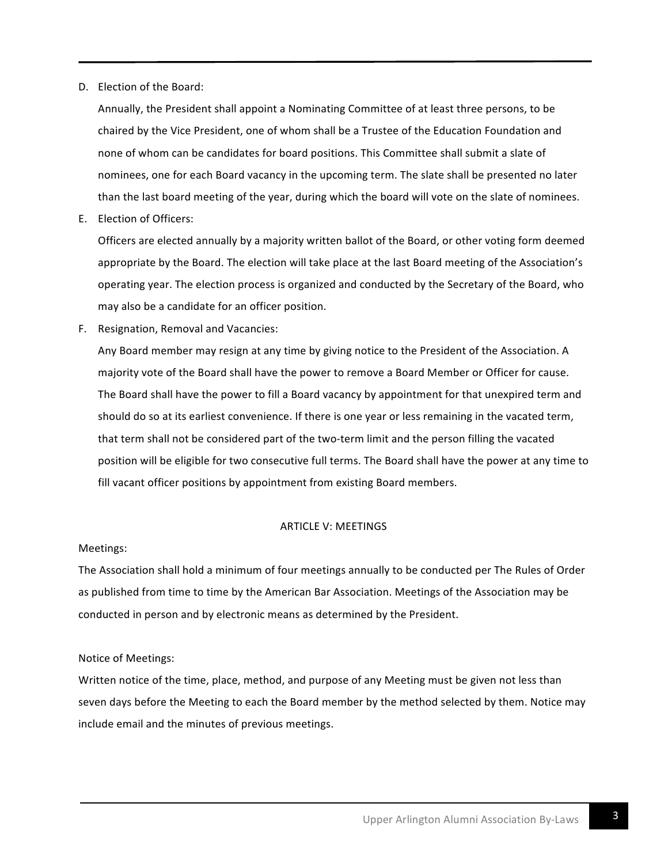D. Election of the Board:

Annually, the President shall appoint a Nominating Committee of at least three persons, to be chaired by the Vice President, one of whom shall be a Trustee of the Education Foundation and none of whom can be candidates for board positions. This Committee shall submit a slate of nominees, one for each Board vacancy in the upcoming term. The slate shall be presented no later than the last board meeting of the year, during which the board will vote on the slate of nominees.

E. Election of Officers:

Officers are elected annually by a majority written ballot of the Board, or other voting form deemed appropriate by the Board. The election will take place at the last Board meeting of the Association's operating year. The election process is organized and conducted by the Secretary of the Board, who may also be a candidate for an officer position.

F. Resignation, Removal and Vacancies:

Any Board member may resign at any time by giving notice to the President of the Association. A majority vote of the Board shall have the power to remove a Board Member or Officer for cause. The Board shall have the power to fill a Board vacancy by appointment for that unexpired term and should do so at its earliest convenience. If there is one year or less remaining in the vacated term, that term shall not be considered part of the two-term limit and the person filling the vacated position will be eligible for two consecutive full terms. The Board shall have the power at any time to fill vacant officer positions by appointment from existing Board members.

#### ARTICLE V: MEETINGS

#### Meetings:

The Association shall hold a minimum of four meetings annually to be conducted per The Rules of Order as published from time to time by the American Bar Association. Meetings of the Association may be conducted in person and by electronic means as determined by the President.

## Notice of Meetings:

Written notice of the time, place, method, and purpose of any Meeting must be given not less than seven days before the Meeting to each the Board member by the method selected by them. Notice may include email and the minutes of previous meetings.